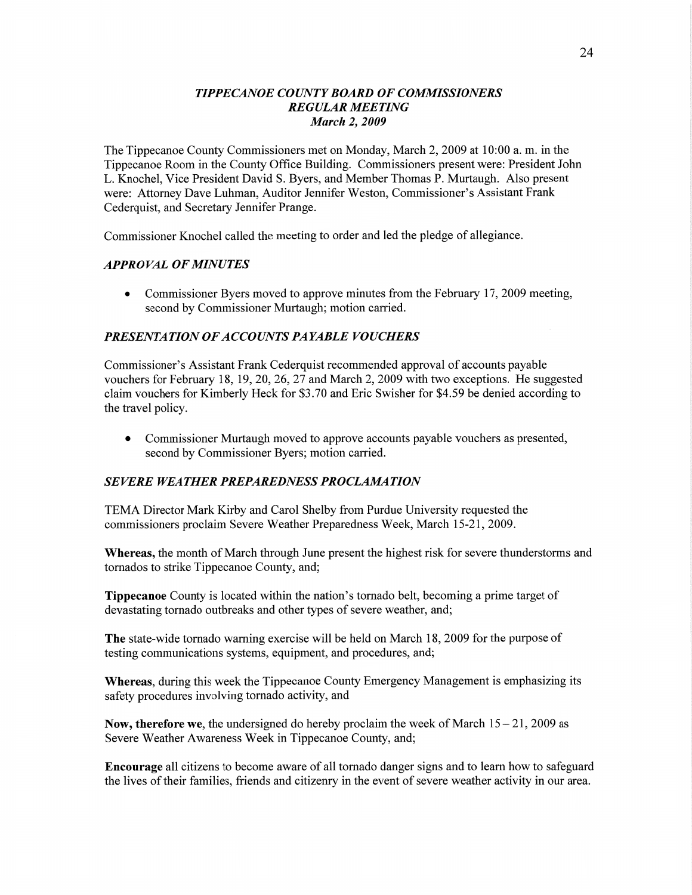### *T IPPECANOE COUNTY BOARD* OF *COMMISSIONERS REGULAR MEETING March* 2, *2009*

The Tippecanoe County Commissioners met on Monday, March 2, 2009 at 10:00 a. m. in the Tippecanoe Room in the County Office Building. Commissioners present were: President John L. Knochel, Vice President David S. Byers, and Member Thomas P. Murtaugh. Also presen<sup>t</sup> were: Attorney Dave Luhman, Auditor Jennifer Weston, Commissioner's Assistant Frank Cederquist, and Secretary Jennifer Prange.

Commissioner Knochel called the meeting to order and led the pledge of allegiance.

### *APPRO* VAL OF *MINUTES*

**0** Commissioner Byers moved to approve minutes from the February 17, 2009 meeting, second by Commissioner Murtaugh; motion carried.

## **PRESENTATION OF ACCOUNTS PAYABLE VOUCHERS**

Commissioner's Assistant Frank Cederquist recommended approval of accounts payable vouchers for February 18, 19, 20, 26, 27 and March 2, 2009 with two exceptions. He suggested claim vouchers for Kimberly Heck for \$3.70 and Eric Swisher for \$4.59 be denied according to the travel policy.

**0** Commissioner Murtaugh **moved** to approve accounts payable vouchers as presented, second by Commissioner Byers; motion carried.

### **SEVERE WEATHER PREPAREDNESS PROCLAMATION**

TEMA Director Mark Kirby and Carol Shelby from Purdue University requested the commissioners proclaim Severe Weather Preparedness Week, March 15 **-21,** 2009.

**Whereas,** the **month** of March through June present the highest risk for severe thunderstorms and tornados to strike Tippecanoe County, and;

**Tippecanoe** County is located Within the nation's tornado belt, becoming a prime target of devastating tornado outbreaks and other types of severe weather, and;

The state-wide tornado warning exercise will be held on March 18, 2009 for the purpose of testing communications systems, equipment, and procedures, and;

**Whereas,** during this week the Tippecanoe County Emergency Management is emphasizing its safety procedures involving tornado activity, and

**Now, therefore** we, the undersigned do hereby proclaim the week of **March** 15 — 21, 2009 as Severe Weather Awareness Week in Tippecanoe County, and;

**Encourage** all citizens to become aware of all tornado danger signs and to learn how to safeguard the lives of their families, friends and citizenry in the event of severe weather activity in our area.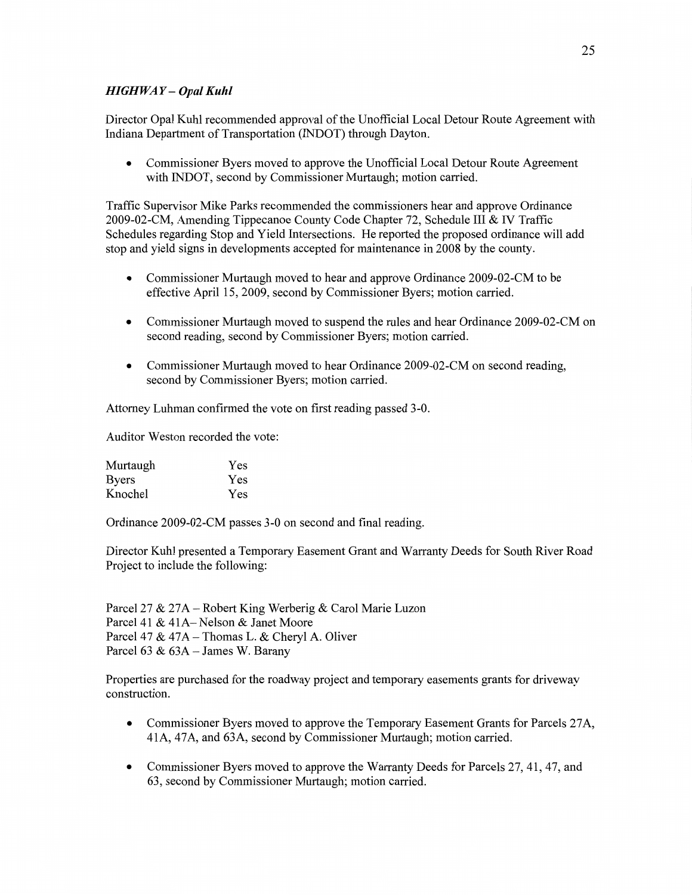# *HIGHWAY— Opal Kuhl*

Director Opal Kuhl **recommended** approval of the Unofficial Local Detour Route Agreement with Indiana Department of Transportation (INDOT) through **Dayton.** 

**0** Commissioner Byers moved to **approve** the Unofficial Local Detour Route Agreement with lNDOT, second by Commissioner Murtaugh; motion carried.

Traffic Supervisor Mike Parks recommended the commissioners hear and approve Ordinance 2009-02-CM, Amending Tippecanoe County Code Chapter 72, Schedule HI & IV Traffic Schedules regarding Stop and Yield Intersections. He reported the proposed ordinance will add stop and yield signs in developments accepted for maintenance in 2008 by the county.

- **0** Commissioner Murtaugh **moved** to hear and approve Ordinance 2009-02-CM to be effective April 15, 2009, second by Commissioner Byers; motion carried.
- **0** Commissioner Murtaugh moved to suspend the rules and **hear** Ordinance 2009-02-CM on second reading, second by Commissioner Byers; **motion** carried.
- **0 Commissioner** Murtaugh moved to hear Ordinance 2009-02-CM on second **reading,**  second by Commissioner Byers; motion carried.

Attorney Luhman confirmed the vote on **first** reading passed 3-0.

**Auditor** Weston recorded the vote:

| Murtaugh     | Yes |
|--------------|-----|
| <b>Byers</b> | Yes |
| Knochel      | Yes |

Ordinance 2009-02-CM passes 3-0 on **second** and final reading.

Director Kuhl presented a Temporary Easement Grant and Warranty Deeds for South River Road Project to include the following:

Parcel 27 & 27A — Robert King Werberig & Carol Marie Luzon Parcel 41 & **41A—** Nelson & Janet Moore Parcel 47 & 47A — Thomas L. & Cheryl A. Oliver Parcel 63 & 63A - James W. Barany

Properties are **purchased** for the roadway project and temporary easements grants for driveway construction.

- **0** Commissioner Byers moved to approve the Temporary Easement Grants for Parcels **27A,**  41A, 47A, and 63A, second by Commissioner Murtaugh; motion carried.
- **0** Commissioner Byers moved to approve the Warranty Deeds for Parcels 27, 41, 47, and 63, second by Commissioner Murtaugh; motion carried.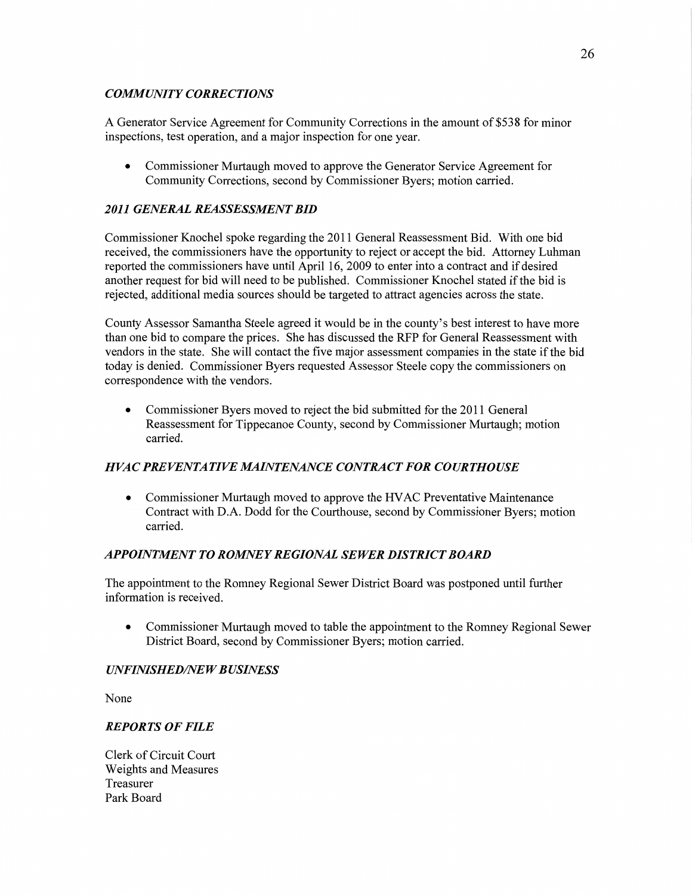## *COMMUNITY CORRECTIONS*

**A** Generator Service Agreement for Community Corrections in the amount of \$538 for minor inspections, **test** operation, and a **major** inspection for one year.

**0** Commissioner Murtaugh moved to approve the Generator Service Agreement for Community Corrections, second by Commissioner Byers; motion carried.

## *2011 GENERAL REASSESSMENT* BID

Commissioner Knochel spoke regarding the 2011 General Reassessment Bid. With one bid received, the commissioners **have** the opportunity to reject or accept the **bid.** Attorney **Luhman**  reported the commissioners **have** until April 16, 2009 to enter into a contract and if desired another request for bid will need to be published. Commissioner Knochel stated if the bid is rejected, additional media sources should be targeted to attract agencies across the state.

County Assessor **Samantha** Steele agreed it would be in the county's best interest to have more than one bid to compare the prices. She has discussed the RFP for General Reassessment with vendors in the state. She will contact the five major assessment companies in the state if the bid today is denied. Commissioner Byers requested Assessor Steele copy the commissioners on correspondence with the vendors.

**0** Commissioner Byers moved to reject the bid submitted for the 2011 General Reassessment for Tippecanoe County, second by Commissioner Murtaugh; motion carried.

## *HVAC PREVENTATIVE [MAINTENANCE CONTRACT* FOR *COURTHOUSE*

**0** Commissioner Murtaugh moved to approve the **HVAC** Preventative Maintenance Contract with D.A. Dodd for the Courthouse, second by Commissioner Byers; motion carried.

## *APPOEVTMENT* T0 *ROMNE Y REGIONAL SEWER DISTRICT BOARD*

The appointment to the Romney Regional Sewer District Board was postponed until further information is received.

**0** Commissioner Murtaugh moved to table the appointment to the Romney Regional Sewer District Board, second by Commissioner Byers; motion carried.

## *UNFINISHED/NE W B USINESS*

None

## *REPORTS OF FILE*

**Clerk** of Circuit Court Weights and Measures Treasurer Park Board